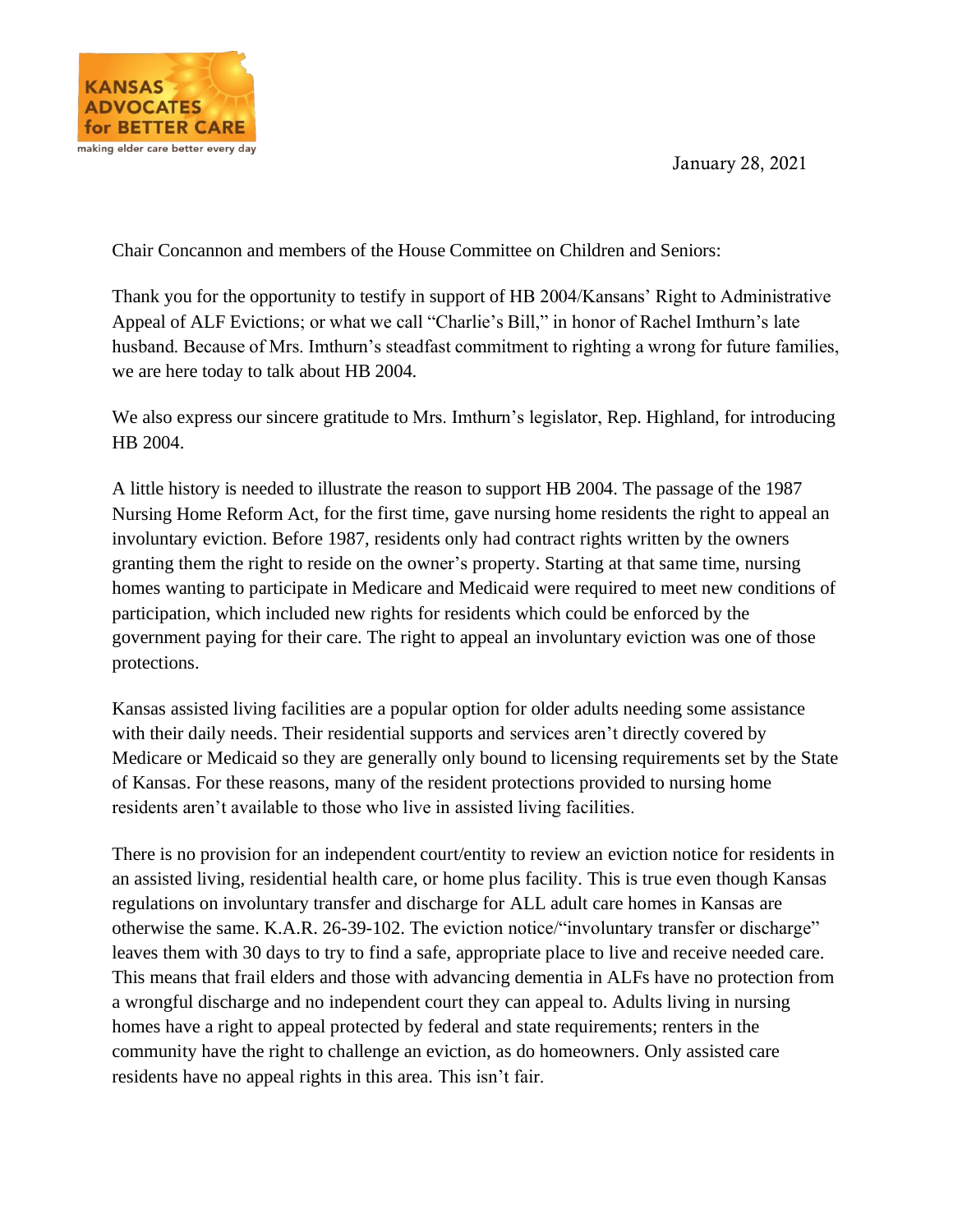January 28, 2021



Chair Concannon and members of the House Committee on Children and Seniors:

Thank you for the opportunity to testify in support of HB 2004/Kansans' Right to Administrative Appeal of ALF Evictions; or what we call "Charlie's Bill," in honor of Rachel Imthurn's late husband. Because of Mrs. Imthurn's steadfast commitment to righting a wrong for future families, we are here today to talk about HB 2004.

We also express our sincere gratitude to Mrs. Imthurn's legislator, Rep. Highland, for introducing HB 2004.

A little history is needed to illustrate the reason to support HB 2004. The passage of the 1987 Nursing Home Reform Act, for the first time, gave nursing home residents the right to appeal an involuntary eviction. Before 1987, residents only had contract rights written by the owners granting them the right to reside on the owner's property. Starting at that same time, nursing homes wanting to participate in Medicare and Medicaid were required to meet new conditions of participation, which included new rights for residents which could be enforced by the government paying for their care. The right to appeal an involuntary eviction was one of those protections.

Kansas assisted living facilities are a popular option for older adults needing some assistance with their daily needs. Their residential supports and services aren't directly covered by Medicare or Medicaid so they are generally only bound to licensing requirements set by the State of Kansas. For these reasons, many of the resident protections provided to nursing home residents aren't available to those who live in assisted living facilities.

There is no provision for an independent court/entity to review an eviction notice for residents in an assisted living, residential health care, or home plus facility. This is true even though Kansas regulations on involuntary transfer and discharge for ALL adult care homes in Kansas are otherwise the same. K.A.R. 26-39-102. The eviction notice/"involuntary transfer or discharge" leaves them with 30 days to try to find a safe, appropriate place to live and receive needed care. This means that frail elders and those with advancing dementia in ALFs have no protection from a wrongful discharge and no independent court they can appeal to. Adults living in nursing homes have a right to appeal protected by federal and state requirements; renters in the community have the right to challenge an eviction, as do homeowners. Only assisted care residents have no appeal rights in this area. This isn't fair.